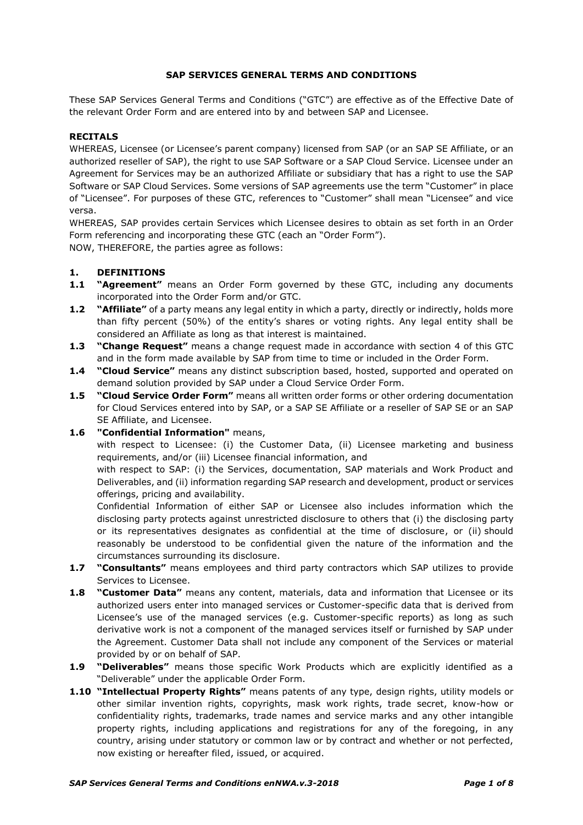### **SAP SERVICES GENERAL TERMS AND CONDITIONS**

These SAP Services General Terms and Conditions ("GTC") are effective as of the Effective Date of the relevant Order Form and are entered into by and between SAP and Licensee.

### **RECITALS**

WHEREAS, Licensee (or Licensee's parent company) licensed from SAP (or an SAP SE Affiliate, or an authorized reseller of SAP), the right to use SAP Software or a SAP Cloud Service. Licensee under an Agreement for Services may be an authorized Affiliate or subsidiary that has a right to use the SAP Software or SAP Cloud Services. Some versions of SAP agreements use the term "Customer" in place of "Licensee". For purposes of these GTC, references to "Customer" shall mean "Licensee" and vice versa.

WHEREAS, SAP provides certain Services which Licensee desires to obtain as set forth in an Order Form referencing and incorporating these GTC (each an "Order Form").

NOW, THEREFORE, the parties agree as follows:

### **1. DEFINITIONS**

- **1.1 "Agreement"** means an Order Form governed by these GTC, including any documents incorporated into the Order Form and/or GTC.
- **1.2 "Affiliate"** of a party means any legal entity in which a party, directly or indirectly, holds more than fifty percent (50%) of the entity's shares or voting rights. Any legal entity shall be considered an Affiliate as long as that interest is maintained.
- **1.3 "Change Request"** means a change request made in accordance with section [4](#page-2-0) of this GTC and in the form made available by SAP from time to time or included in the Order Form.
- **1.4 "Cloud Service"** means any distinct subscription based, hosted, supported and operated on demand solution provided by SAP under a Cloud Service Order Form.
- **1.5 "Cloud Service Order Form"** means all written order forms or other ordering documentation for Cloud Services entered into by SAP, or a SAP SE Affiliate or a reseller of SAP SE or an SAP SE Affiliate, and Licensee.
- **1.6 "Confidential Information"** means,

with respect to Licensee: (i) the Customer Data, (ii) Licensee marketing and business requirements, and/or (iii) Licensee financial information, and

with respect to SAP: (i) the Services, documentation, SAP materials and Work Product and Deliverables, and (ii) information regarding SAP research and development, product or services offerings, pricing and availability.

Confidential Information of either SAP or Licensee also includes information which the disclosing party protects against unrestricted disclosure to others that (i) the disclosing party or its representatives designates as confidential at the time of disclosure, or (ii) should reasonably be understood to be confidential given the nature of the information and the circumstances surrounding its disclosure.

- **1.7 "Consultants"** means employees and third party contractors which SAP utilizes to provide Services to Licensee.
- **1.8 "Customer Data"** means any content, materials, data and information that Licensee or its authorized users enter into managed services or Customer-specific data that is derived from Licensee's use of the managed services (e.g. Customer-specific reports) as long as such derivative work is not a component of the managed services itself or furnished by SAP under the Agreement. Customer Data shall not include any component of the Services or material provided by or on behalf of SAP.
- **1.9 "Deliverables"** means those specific Work Products which are explicitly identified as a "Deliverable" under the applicable Order Form.
- **1.10 "Intellectual Property Rights"** means patents of any type, design rights, utility models or other similar invention rights, copyrights, mask work rights, trade secret, know-how or confidentiality rights, trademarks, trade names and service marks and any other intangible property rights, including applications and registrations for any of the foregoing, in any country, arising under statutory or common law or by contract and whether or not perfected, now existing or hereafter filed, issued, or acquired.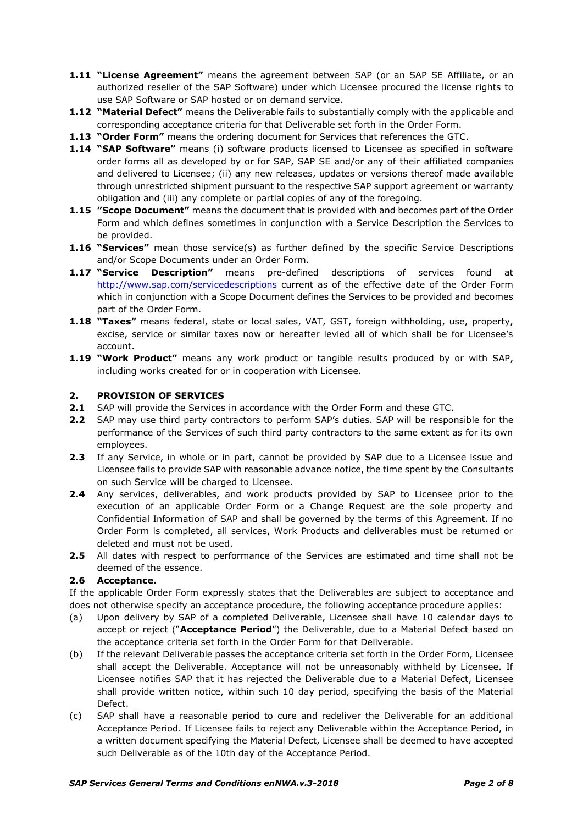- **1.11 "License Agreement"** means the agreement between SAP (or an SAP SE Affiliate, or an authorized reseller of the SAP Software) under which Licensee procured the license rights to use SAP Software or SAP hosted or on demand service*.*
- **1.12 "Material Defect"** means the Deliverable fails to substantially comply with the applicable and corresponding acceptance criteria for that Deliverable set forth in the Order Form.
- **1.13 "Order Form"** means the ordering document for Services that references the GTC.
- **1.14 "SAP Software"** means (i) software products licensed to Licensee as specified in software order forms all as developed by or for SAP, SAP SE and/or any of their affiliated companies and delivered to Licensee; (ii) any new releases, updates or versions thereof made available through unrestricted shipment pursuant to the respective SAP support agreement or warranty obligation and (iii) any complete or partial copies of any of the foregoing.
- **1.15 "Scope Document"** means the document that is provided with and becomes part of the Order Form and which defines sometimes in conjunction with a Service Description the Services to be provided.
- **1.16 "Services"** mean those service(s) as further defined by the specific Service Descriptions and/or Scope Documents under an Order Form.
- **1.17 "Service Description"** means pre-defined descriptions of services found at <http://www.sap.com/servicedescriptions> current as of the effective date of the Order Form which in conjunction with a Scope Document defines the Services to be provided and becomes part of the Order Form.
- **1.18 "Taxes"** means federal, state or local sales, VAT, GST, foreign withholding, use, property, excise, service or similar taxes now or hereafter levied all of which shall be for Licensee's account.
- **1.19 "Work Product"** means any work product or tangible results produced by or with SAP, including works created for or in cooperation with Licensee.

### **2. PROVISION OF SERVICES**

- **2.1** SAP will provide the Services in accordance with the Order Form and these GTC.
- **2.2** SAP may use third party contractors to perform SAP's duties. SAP will be responsible for the performance of the Services of such third party contractors to the same extent as for its own employees.
- **2.3** If any Service, in whole or in part, cannot be provided by SAP due to a Licensee issue and Licensee fails to provide SAP with reasonable advance notice, the time spent by the Consultants on such Service will be charged to Licensee.
- **2.4** Any services, deliverables, and work products provided by SAP to Licensee prior to the execution of an applicable Order Form or a Change Request are the sole property and Confidential Information of SAP and shall be governed by the terms of this Agreement. If no Order Form is completed, all services, Work Products and deliverables must be returned or deleted and must not be used.
- **2.5** All dates with respect to performance of the Services are estimated and time shall not be deemed of the essence.

# **2.6 Acceptance.**

If the applicable Order Form expressly states that the Deliverables are subject to acceptance and does not otherwise specify an acceptance procedure, the following acceptance procedure applies:

- (a) Upon delivery by SAP of a completed Deliverable, Licensee shall have 10 calendar days to accept or reject ("**Acceptance Period**") the Deliverable, due to a Material Defect based on the acceptance criteria set forth in the Order Form for that Deliverable.
- (b) If the relevant Deliverable passes the acceptance criteria set forth in the Order Form, Licensee shall accept the Deliverable. Acceptance will not be unreasonably withheld by Licensee. If Licensee notifies SAP that it has rejected the Deliverable due to a Material Defect, Licensee shall provide written notice, within such 10 day period, specifying the basis of the Material Defect.
- (c) SAP shall have a reasonable period to cure and redeliver the Deliverable for an additional Acceptance Period. If Licensee fails to reject any Deliverable within the Acceptance Period, in a written document specifying the Material Defect, Licensee shall be deemed to have accepted such Deliverable as of the 10th day of the Acceptance Period.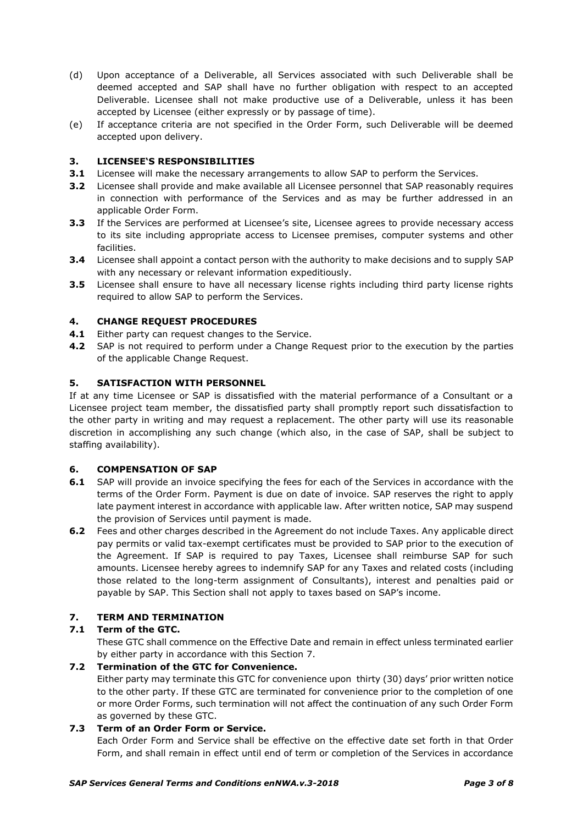- (d) Upon acceptance of a Deliverable, all Services associated with such Deliverable shall be deemed accepted and SAP shall have no further obligation with respect to an accepted Deliverable. Licensee shall not make productive use of a Deliverable, unless it has been accepted by Licensee (either expressly or by passage of time).
- (e) If acceptance criteria are not specified in the Order Form, such Deliverable will be deemed accepted upon delivery.

# **3. LICENSEE'S RESPONSIBILITIES**

- **3.1** Licensee will make the necessary arrangements to allow SAP to perform the Services.
- **3.2** Licensee shall provide and make available all Licensee personnel that SAP reasonably requires in connection with performance of the Services and as may be further addressed in an applicable Order Form.
- **3.3** If the Services are performed at Licensee's site, Licensee agrees to provide necessary access to its site including appropriate access to Licensee premises, computer systems and other facilities.
- **3.4** Licensee shall appoint a contact person with the authority to make decisions and to supply SAP with any necessary or relevant information expeditiously.
- **3.5** Licensee shall ensure to have all necessary license rights including third party license rights required to allow SAP to perform the Services.

### <span id="page-2-0"></span>**4. CHANGE REQUEST PROCEDURES**

- 4.1 Either party can request changes to the Service.
- **4.2** SAP is not required to perform under a Change Request prior to the execution by the parties of the applicable Change Request.

### **5. SATISFACTION WITH PERSONNEL**

If at any time Licensee or SAP is dissatisfied with the material performance of a Consultant or a Licensee project team member, the dissatisfied party shall promptly report such dissatisfaction to the other party in writing and may request a replacement. The other party will use its reasonable discretion in accomplishing any such change (which also, in the case of SAP, shall be subject to staffing availability).

#### **6. COMPENSATION OF SAP**

- **6.1** SAP will provide an invoice specifying the fees for each of the Services in accordance with the terms of the Order Form. Payment is due on date of invoice. SAP reserves the right to apply late payment interest in accordance with applicable law. After written notice, SAP may suspend the provision of Services until payment is made.
- **6.2** Fees and other charges described in the Agreement do not include Taxes. Any applicable direct pay permits or valid tax-exempt certificates must be provided to SAP prior to the execution of the Agreement. If SAP is required to pay Taxes, Licensee shall reimburse SAP for such amounts. Licensee hereby agrees to indemnify SAP for any Taxes and related costs (including those related to the long-term assignment of Consultants), interest and penalties paid or payable by SAP. This Section shall not apply to taxes based on SAP's income.

## **7. TERM AND TERMINATION**

#### **7.1 Term of the GTC.**

These GTC shall commence on the Effective Date and remain in effect unless terminated earlier by either party in accordance with this Section 7.

# **7.2 Termination of the GTC for Convenience.**

Either party may terminate this GTC for convenience upon thirty (30) days' prior written notice to the other party. If these GTC are terminated for convenience prior to the completion of one or more Order Forms, such termination will not affect the continuation of any such Order Form as governed by these GTC.

#### **7.3 Term of an Order Form or Service.**

Each Order Form and Service shall be effective on the effective date set forth in that Order Form, and shall remain in effect until end of term or completion of the Services in accordance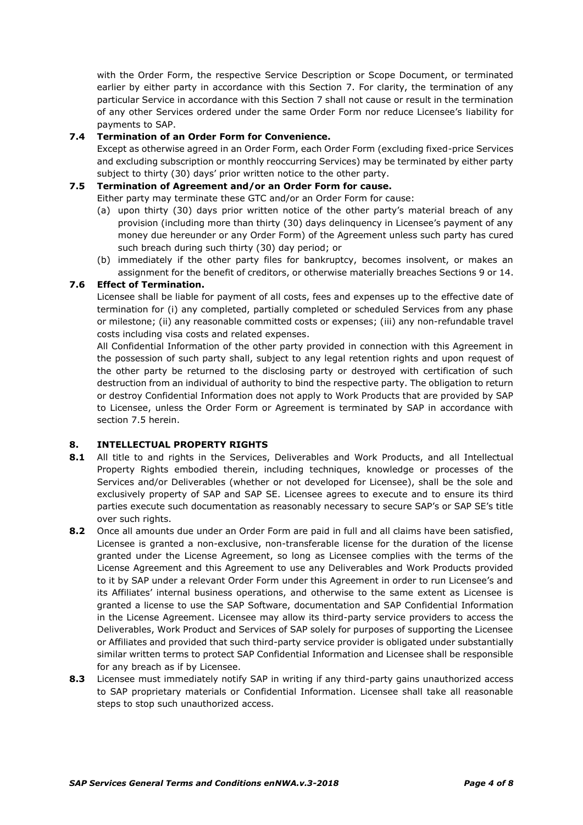with the Order Form, the respective Service Description or Scope Document, or terminated earlier by either party in accordance with this Section 7. For clarity, the termination of any particular Service in accordance with this Section 7 shall not cause or result in the termination of any other Services ordered under the same Order Form nor reduce Licensee's liability for payments to SAP.

### **7.4 Termination of an Order Form for Convenience.**

Except as otherwise agreed in an Order Form, each Order Form (excluding fixed-price Services and excluding subscription or monthly reoccurring Services) may be terminated by either party subject to thirty (30) days' prior written notice to the other party.

### **7.5 Termination of Agreement and/or an Order Form for cause.**

Either party may terminate these GTC and/or an Order Form for cause:

- (a) upon thirty (30) days prior written notice of the other party's material breach of any provision (including more than thirty (30) days delinquency in Licensee's payment of any money due hereunder or any Order Form) of the Agreement unless such party has cured such breach during such thirty (30) day period; or
- (b) immediately if the other party files for bankruptcy, becomes insolvent, or makes an assignment for the benefit of creditors, or otherwise materially breaches Sections 9 or 14.

# **7.6 Effect of Termination.**

Licensee shall be liable for payment of all costs, fees and expenses up to the effective date of termination for (i) any completed, partially completed or scheduled Services from any phase or milestone; (ii) any reasonable committed costs or expenses; (iii) any non-refundable travel costs including visa costs and related expenses.

All Confidential Information of the other party provided in connection with this Agreement in the possession of such party shall, subject to any legal retention rights and upon request of the other party be returned to the disclosing party or destroyed with certification of such destruction from an individual of authority to bind the respective party. The obligation to return or destroy Confidential Information does not apply to Work Products that are provided by SAP to Licensee, unless the Order Form or Agreement is terminated by SAP in accordance with section 7.5 herein.

# **8. INTELLECTUAL PROPERTY RIGHTS**

- **8.1** All title to and rights in the Services, Deliverables and Work Products, and all Intellectual Property Rights embodied therein, including techniques, knowledge or processes of the Services and/or Deliverables (whether or not developed for Licensee), shall be the sole and exclusively property of SAP and SAP SE. Licensee agrees to execute and to ensure its third parties execute such documentation as reasonably necessary to secure SAP's or SAP SE's title over such rights.
- **8.2** Once all amounts due under an Order Form are paid in full and all claims have been satisfied, Licensee is granted a non-exclusive, non-transferable license for the duration of the license granted under the License Agreement, so long as Licensee complies with the terms of the License Agreement and this Agreement to use any Deliverables and Work Products provided to it by SAP under a relevant Order Form under this Agreement in order to run Licensee's and its Affiliates' internal business operations, and otherwise to the same extent as Licensee is granted a license to use the SAP Software, documentation and SAP Confidential Information in the License Agreement. Licensee may allow its third-party service providers to access the Deliverables, Work Product and Services of SAP solely for purposes of supporting the Licensee or Affiliates and provided that such third-party service provider is obligated under substantially similar written terms to protect SAP Confidential Information and Licensee shall be responsible for any breach as if by Licensee.
- **8.3** Licensee must immediately notify SAP in writing if any third-party gains unauthorized access to SAP proprietary materials or Confidential Information. Licensee shall take all reasonable steps to stop such unauthorized access.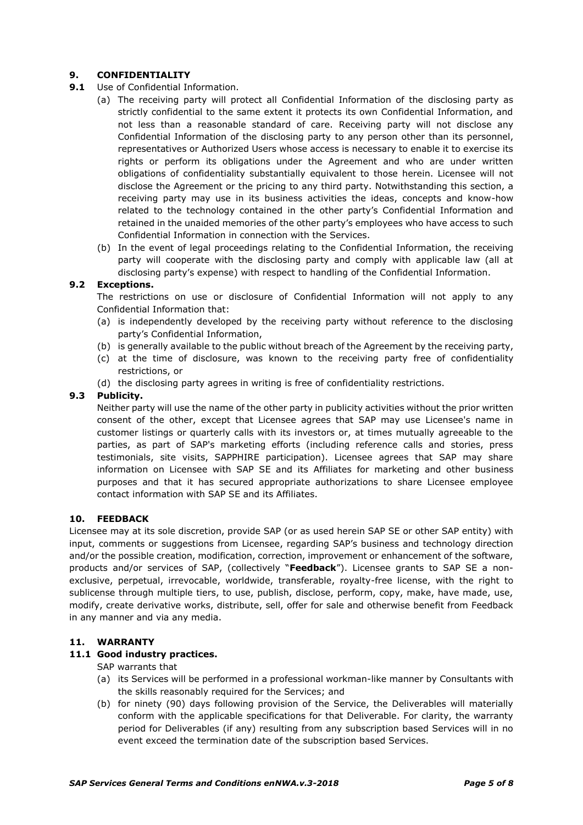# **9. CONFIDENTIALITY**

- **9.1** Use of Confidential Information.
	- (a) The receiving party will protect all Confidential Information of the disclosing party as strictly confidential to the same extent it protects its own Confidential Information, and not less than a reasonable standard of care. Receiving party will not disclose any Confidential Information of the disclosing party to any person other than its personnel, representatives or Authorized Users whose access is necessary to enable it to exercise its rights or perform its obligations under the Agreement and who are under written obligations of confidentiality substantially equivalent to those herein. Licensee will not disclose the Agreement or the pricing to any third party. Notwithstanding this section, a receiving party may use in its business activities the ideas, concepts and know-how related to the technology contained in the other party's Confidential Information and retained in the unaided memories of the other party's employees who have access to such Confidential Information in connection with the Services.
	- (b) In the event of legal proceedings relating to the Confidential Information, the receiving party will cooperate with the disclosing party and comply with applicable law (all at disclosing party's expense) with respect to handling of the Confidential Information.

# **9.2 Exceptions.**

The restrictions on use or disclosure of Confidential Information will not apply to any Confidential Information that:

- (a) is independently developed by the receiving party without reference to the disclosing party's Confidential Information,
- (b) is generally available to the public without breach of the Agreement by the receiving party,
- (c) at the time of disclosure, was known to the receiving party free of confidentiality restrictions, or
- (d) the disclosing party agrees in writing is free of confidentiality restrictions.

# **9.3 Publicity.**

Neither party will use the name of the other party in publicity activities without the prior written consent of the other, except that Licensee agrees that SAP may use Licensee's name in customer listings or quarterly calls with its investors or, at times mutually agreeable to the parties, as part of SAP's marketing efforts (including reference calls and stories, press testimonials, site visits, SAPPHIRE participation). Licensee agrees that SAP may share information on Licensee with SAP SE and its Affiliates for marketing and other business purposes and that it has secured appropriate authorizations to share Licensee employee contact information with SAP SE and its Affiliates.

#### **10. FEEDBACK**

Licensee may at its sole discretion, provide SAP (or as used herein SAP SE or other SAP entity) with input, comments or suggestions from Licensee, regarding SAP's business and technology direction and/or the possible creation, modification, correction, improvement or enhancement of the software, products and/or services of SAP, (collectively "**Feedback**"). Licensee grants to SAP SE a nonexclusive, perpetual, irrevocable, worldwide, transferable, royalty-free license, with the right to sublicense through multiple tiers, to use, publish, disclose, perform, copy, make, have made, use, modify, create derivative works, distribute, sell, offer for sale and otherwise benefit from Feedback in any manner and via any media.

#### **11. WARRANTY**

# **11.1 Good industry practices.**

- SAP warrants that
- (a) its Services will be performed in a professional workman-like manner by Consultants with the skills reasonably required for the Services; and
- (b) for ninety (90) days following provision of the Service, the Deliverables will materially conform with the applicable specifications for that Deliverable. For clarity, the warranty period for Deliverables (if any) resulting from any subscription based Services will in no event exceed the termination date of the subscription based Services.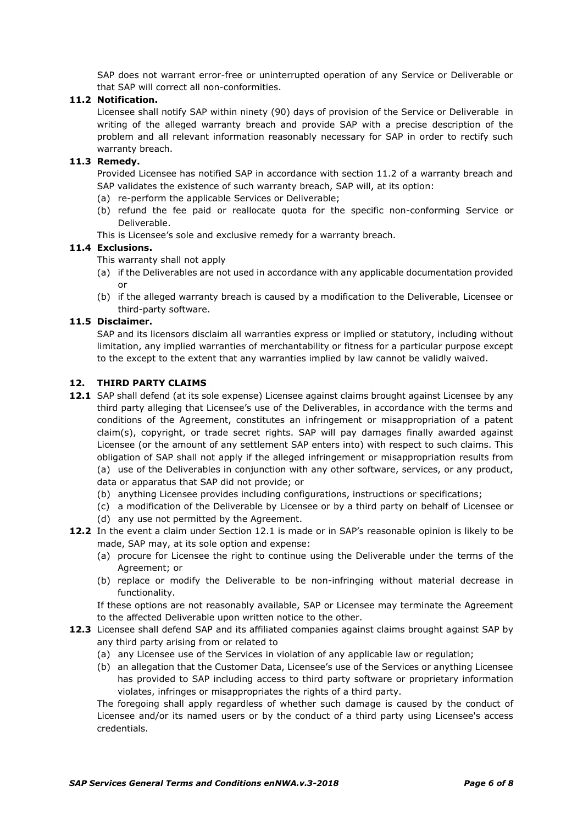SAP does not warrant error-free or uninterrupted operation of any Service or Deliverable or that SAP will correct all non-conformities.

### **11.2 Notification.**

Licensee shall notify SAP within ninety (90) days of provision of the Service or Deliverable in writing of the alleged warranty breach and provide SAP with a precise description of the problem and all relevant information reasonably necessary for SAP in order to rectify such warranty breach.

#### **11.3 Remedy.**

Provided Licensee has notified SAP in accordance with section 11.2 of a warranty breach and SAP validates the existence of such warranty breach, SAP will, at its option:

- (a) re-perform the applicable Services or Deliverable;
- (b) refund the fee paid or reallocate quota for the specific non-conforming Service or Deliverable.
- This is Licensee's sole and exclusive remedy for a warranty breach.

#### **11.4 Exclusions.**

This warranty shall not apply

- (a) if the Deliverables are not used in accordance with any applicable documentation provided or
- (b) if the alleged warranty breach is caused by a modification to the Deliverable, Licensee or third-party software.

#### **11.5 Disclaimer.**

SAP and its licensors disclaim all warranties express or implied or statutory, including without limitation, any implied warranties of merchantability or fitness for a particular purpose except to the except to the extent that any warranties implied by law cannot be validly waived.

# **12. THIRD PARTY CLAIMS**

- **12.1** SAP shall defend (at its sole expense) Licensee against claims brought against Licensee by any third party alleging that Licensee's use of the Deliverables, in accordance with the terms and conditions of the Agreement, constitutes an infringement or misappropriation of a patent claim(s), copyright, or trade secret rights. SAP will pay damages finally awarded against Licensee (or the amount of any settlement SAP enters into) with respect to such claims. This obligation of SAP shall not apply if the alleged infringement or misappropriation results from (a) use of the Deliverables in conjunction with any other software, services, or any product, data or apparatus that SAP did not provide; or
	- (b) anything Licensee provides including configurations, instructions or specifications;
	- (c) a modification of the Deliverable by Licensee or by a third party on behalf of Licensee or
- (d) any use not permitted by the Agreement. **12.2** In the event a claim under Section 12.1 is made or in SAP's reasonable opinion is likely to be made, SAP may, at its sole option and expense:
	- (a) procure for Licensee the right to continue using the Deliverable under the terms of the Agreement; or
	- (b) replace or modify the Deliverable to be non-infringing without material decrease in functionality.

If these options are not reasonably available, SAP or Licensee may terminate the Agreement to the affected Deliverable upon written notice to the other.

- **12.3** Licensee shall defend SAP and its affiliated companies against claims brought against SAP by any third party arising from or related to
	- (a) any Licensee use of the Services in violation of any applicable law or regulation;
	- (b) an allegation that the Customer Data, Licensee's use of the Services or anything Licensee has provided to SAP including access to third party software or proprietary information violates, infringes or misappropriates the rights of a third party.

The foregoing shall apply regardless of whether such damage is caused by the conduct of Licensee and/or its named users or by the conduct of a third party using Licensee's access credentials.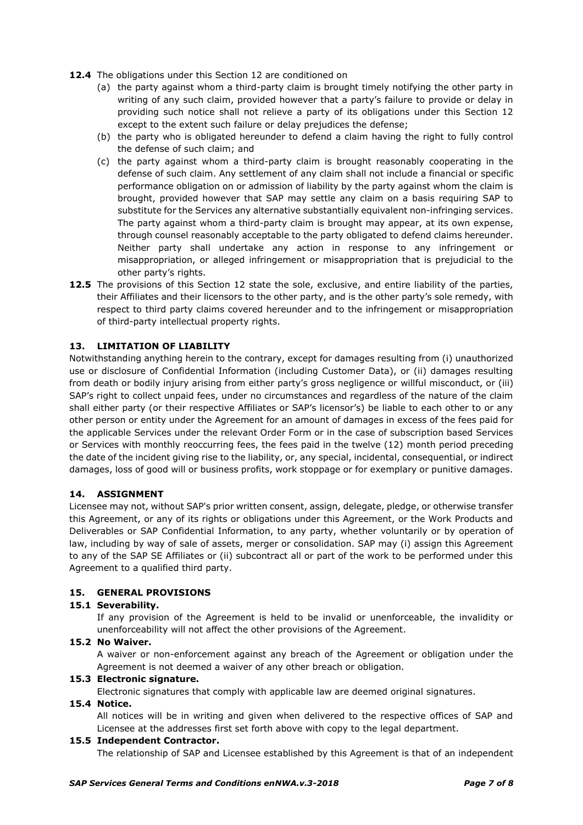- **12.4** The obligations under this Section 12 are conditioned on
	- (a) the party against whom a third-party claim is brought timely notifying the other party in writing of any such claim, provided however that a party's failure to provide or delay in providing such notice shall not relieve a party of its obligations under this Section 12 except to the extent such failure or delay prejudices the defense;
	- (b) the party who is obligated hereunder to defend a claim having the right to fully control the defense of such claim; and
	- (c) the party against whom a third-party claim is brought reasonably cooperating in the defense of such claim. Any settlement of any claim shall not include a financial or specific performance obligation on or admission of liability by the party against whom the claim is brought, provided however that SAP may settle any claim on a basis requiring SAP to substitute for the Services any alternative substantially equivalent non-infringing services. The party against whom a third-party claim is brought may appear, at its own expense, through counsel reasonably acceptable to the party obligated to defend claims hereunder. Neither party shall undertake any action in response to any infringement or misappropriation, or alleged infringement or misappropriation that is prejudicial to the other party's rights.
- **12.5** The provisions of this Section 12 state the sole, exclusive, and entire liability of the parties, their Affiliates and their licensors to the other party, and is the other party's sole remedy, with respect to third party claims covered hereunder and to the infringement or misappropriation of third-party intellectual property rights.

# **13. LIMITATION OF LIABILITY**

Notwithstanding anything herein to the contrary, except for damages resulting from (i) unauthorized use or disclosure of Confidential Information (including Customer Data), or (ii) damages resulting from death or bodily injury arising from either party's gross negligence or willful misconduct, or (iii) SAP's right to collect unpaid fees, under no circumstances and regardless of the nature of the claim shall either party (or their respective Affiliates or SAP's licensor's) be liable to each other to or any other person or entity under the Agreement for an amount of damages in excess of the fees paid for the applicable Services under the relevant Order Form or in the case of subscription based Services or Services with monthly reoccurring fees, the fees paid in the twelve (12) month period preceding the date of the incident giving rise to the liability, or, any special, incidental, consequential, or indirect damages, loss of good will or business profits, work stoppage or for exemplary or punitive damages.

#### **14. ASSIGNMENT**

Licensee may not, without SAP's prior written consent, assign, delegate, pledge, or otherwise transfer this Agreement, or any of its rights or obligations under this Agreement, or the Work Products and Deliverables or SAP Confidential Information, to any party, whether voluntarily or by operation of law, including by way of sale of assets, merger or consolidation. SAP may (i) assign this Agreement to any of the SAP SE Affiliates or (ii) subcontract all or part of the work to be performed under this Agreement to a qualified third party.

#### **15. GENERAL PROVISIONS**

#### **15.1 Severability.**

If any provision of the Agreement is held to be invalid or unenforceable, the invalidity or unenforceability will not affect the other provisions of the Agreement.

## **15.2 No Waiver.**

A waiver or non-enforcement against any breach of the Agreement or obligation under the Agreement is not deemed a waiver of any other breach or obligation.

#### **15.3 Electronic signature.**

Electronic signatures that comply with applicable law are deemed original signatures.

#### **15.4 Notice.**

All notices will be in writing and given when delivered to the respective offices of SAP and Licensee at the addresses first set forth above with copy to the legal department.

#### **15.5 Independent Contractor.**

The relationship of SAP and Licensee established by this Agreement is that of an independent